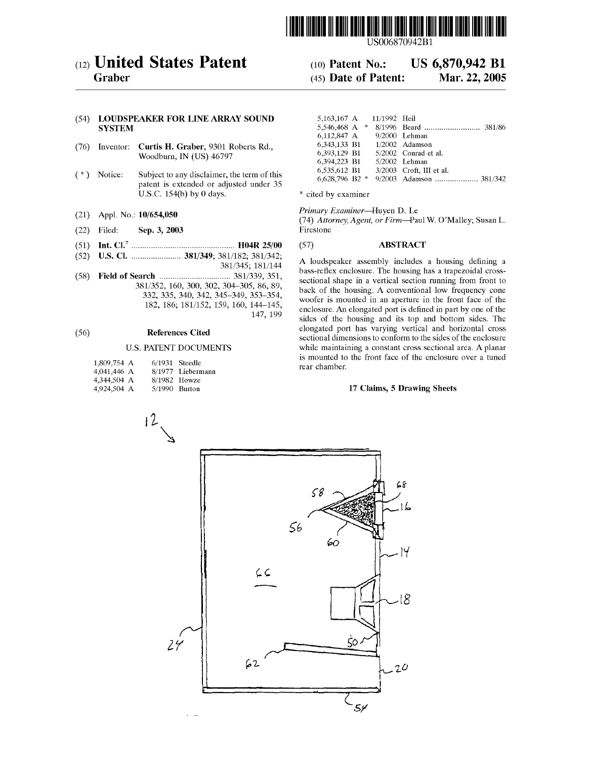

USOO6870942B1

# (12) United States Patent (10) Patent No.: US 6,870,942 B1<br>Graber (45) Date of Patent: Mar. 22, 2005

# $(45)$  Date of Patent:

# (54) LOUDSPEAKER FOR LINE ARRAY SOUND<br>SYSTEM

- (76) Inventor: Curtis H. Graber, 9301 Roberts Rd., Woodburn, IN (US) 46797
- $(*)$  Notice: Subject to any disclaimer, the term of this patent is extended or adjusted under 35 U.S.C. 154(b) by 0 days. \* cited by examiner
- 
- Sep. 3, 2003
- (51) Int. Cl." ................................................ H04R 25/00 (57) ABSTRACT
- -
- 182, 186; 181/152, 159, 160, 144-145,

| 1,809,754 A | $6/1931$ Steedle |                   |
|-------------|------------------|-------------------|
| 4,041,446 A |                  | 8/1977 Liebermann |
| 4,344,504 A | 8/1982 Howze     |                   |
| 4,924,504 A | 5/1990 Burton    |                   |

| LOUDSPEAKER FOR LINE ARRAY SOUND<br>SYSTEM                               |                                             | 5.163.167 A 11/1992 Heil |                            |  |
|--------------------------------------------------------------------------|---------------------------------------------|--------------------------|----------------------------|--|
|                                                                          |                                             |                          |                            |  |
|                                                                          |                                             | 6.112.847 A              | 9/2000 Lehman              |  |
| Inventor: Curtis H. Graber, 9301 Roberts Rd.,<br>Woodburn, IN (US) 46797 |                                             | 6.343.133 B1             | $1/2002$ Adamson           |  |
|                                                                          |                                             | 6.393.129 B1             | $5/2002$ Conrad et al.     |  |
|                                                                          |                                             | 6,394,223 B1             | $5/2002$ Lehman            |  |
| Notice:                                                                  | Subject to any disclaimer, the term of this | 6.535.612 B1             | $3/2003$ Croft. III et al. |  |
|                                                                          |                                             |                          |                            |  |

(21) Appl. No.:  $10/654,050$  *Primary Examiner*—Huyen D. Le<br>
(22) Filed: **Sep. 3, 2003** Firestone *Firm-Paul W. O'Malley*; Susan L.

(52) U.S. Cl. ....................... 381/349; 381/182; 381/342; 381/345; s 181/144 ass-refleX losses, enclosure. Smy The housing S. has housing a trapezoidal this croSS **EXEM**  $\ldots$   $\ldots$   $\ldots$   $\ldots$   $\ldots$   $\ldots$   $\ldots$   $\ldots$   $\ldots$   $\ldots$   $\ldots$   $\ldots$   $\ldots$   $\ldots$   $\ldots$   $\ldots$   $\ldots$   $\ldots$   $\ldots$   $\ldots$   $\ldots$  sectional shape in a vertical section running from front to  $381/352$ , 160, 300, 302, 30  $332, 335, 340, 302, 304-305, 86, 89, 332, 335, 340, 342, 345-349, 353-349, 354, 346-349, 353-349, 354-349, 354-349, 354-340, 346-340, 346-340, 346-340, 346-340, 346-340, 346-340, 346-340, 346-340, 346-340, 346-340, 346-3$  $\begin{array}{r} 144-143, \\ 147, 199 \end{array}$  enclosure. An elongated port is defined in part by one of the 147, 199 sides of the housing and its top and bottom sides. The elongated port has varying vertical and horizontal cross (56) References Cited Sectional dimensions to conform to the sides of the enclosure<br>Sectional dimensions to conform to the sides of the enclosure U.S. PATENT DOCUMENTS while maintaining a constant cross sectional area. A planar is mounted to the front face of the enclosure over a tuned nn rear chamber.

### 17 Claims, 5 Drawing Sheets

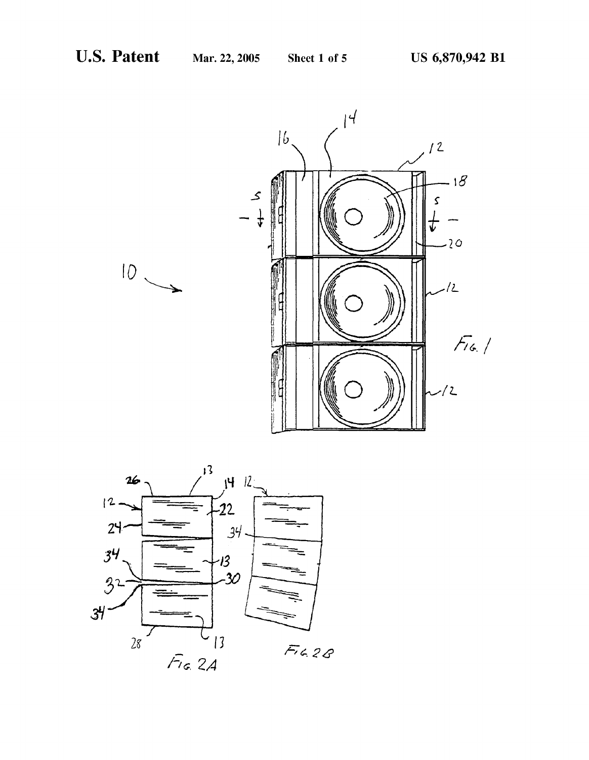

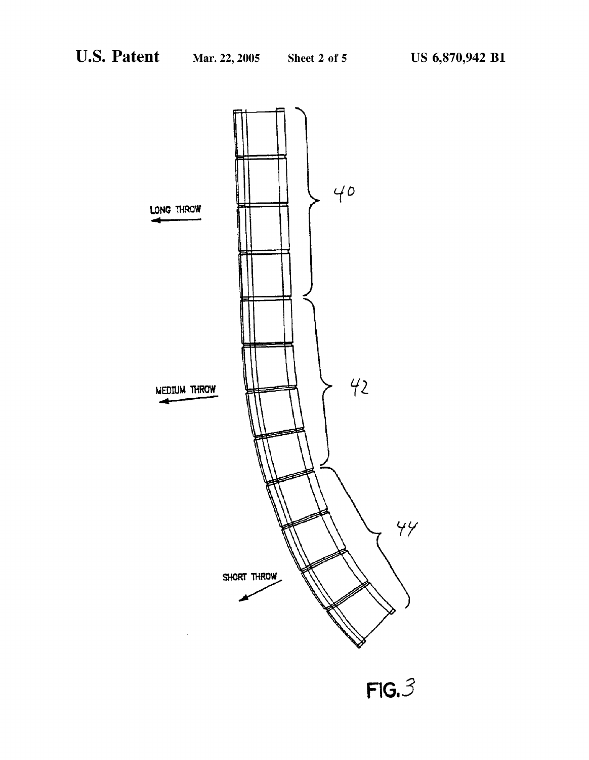

 $FIG. 3$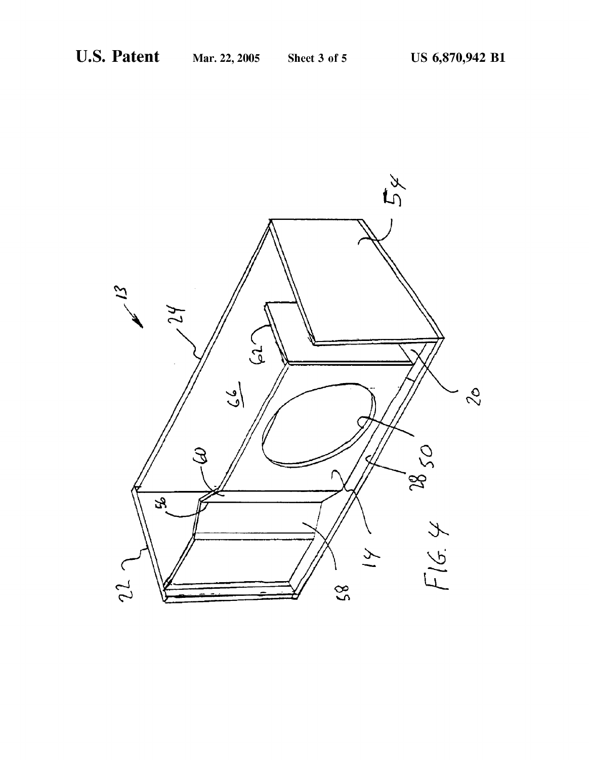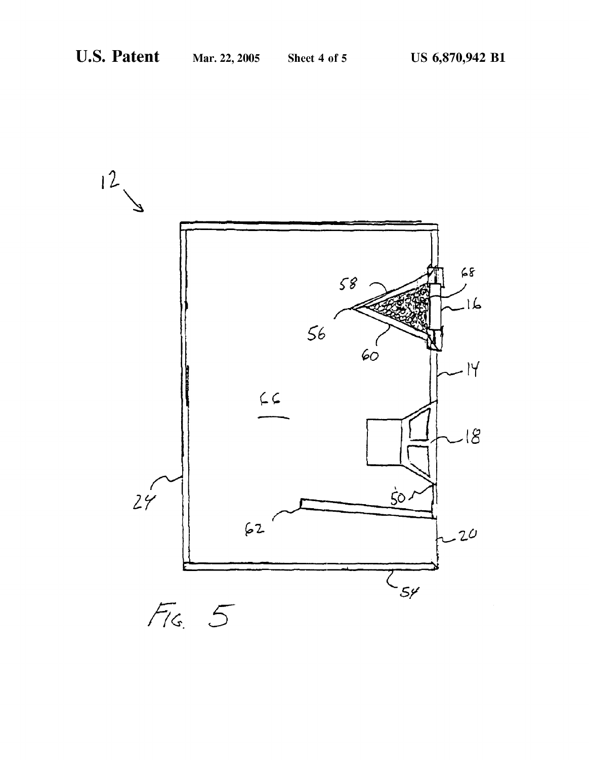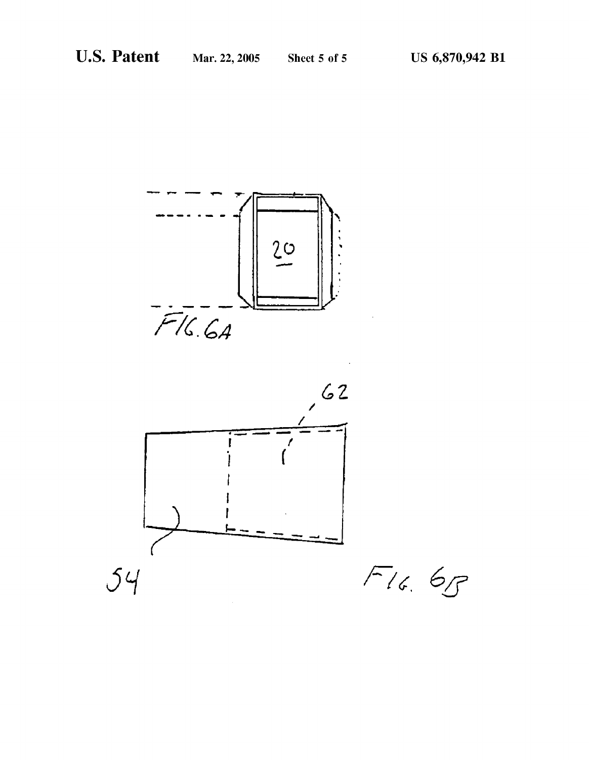

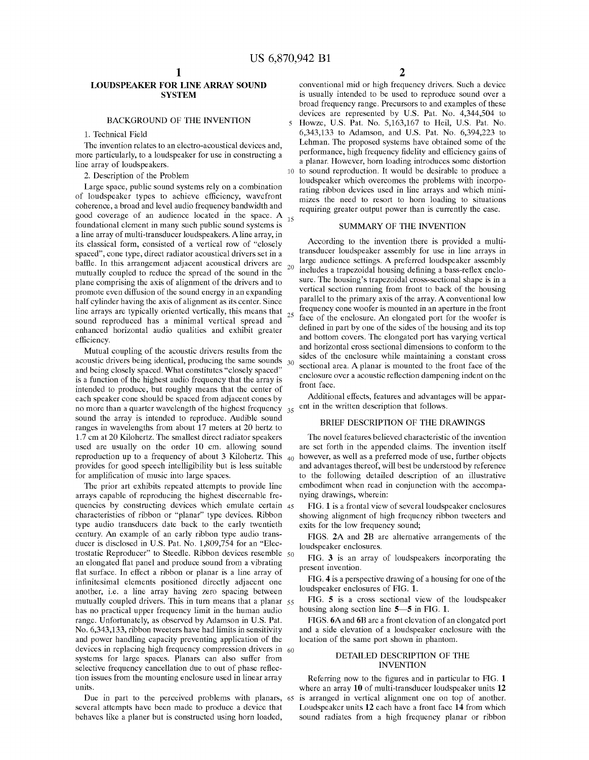$\overline{\phantom{0}}$ 

 $10$ 

# LOUDSPEAKER FOR LINE ARRAY SOUND **SYSTEM**

## BACKGROUND OF THE INVENTION

1. Technical Field

The invention relates to an electro-acoustical devices and, more particularly, to a loudspeaker for use in constructing a line array of loudspeakers.

2. Description of the Problem

Large space, public sound systems rely on a combination of loudspeaker types to achieve efficiency, wavefront coherence, a broad and level audio frequency bandwidth and good coverage of an audience located in the space. A 15 foundational element in many Such public Sound Systems is a line array of multi-transducer loudspeakers. A line array, in its classical form, consisted of a vertical row of "closely spaced", cone type, direct radiator acoustical drivers set in a baffle. In this arrangement adjacent acoustical drivers are  $_{20}$ mutually coupled to reduce the Spread of the Sound in the plane comprising the axis of alignment of the drivers and to promote even diffusion of the Sound energy in an expanding half cylinder having the axis of alignment as its center. Since line arrays are typically oriented vertically, this means that  $_{25}$ sound reproduced has a minimal vertical spread and enhanced horizontal audio qualities and exhibit greater efficiency.

Mutual coupling of the acoustic drivers results from the acoustic drivers being identical, producing the same sounds  $_{30}$ and being closely spaced. What constitutes "closely spaced" is a function of the highest audio frequency that the array is intended to produce, but roughly means that the center of each speaker cone should be spaced from adjacent cones by no more than a quarter wavelength of the highest frequency  $35$ sound the array is intended to reproduce. Audible sound ranges in wavelengths from about 17 meters at 20 hertz to 1.7 cm at 20 Kilohertz. The smallest direct radiator speakers used are usually on the order 10 cm. allowing sound reproduction up to a frequency of about 3 Kilohertz. This  $_{40}$ provides for good speech intelligibility but is less suitable for amplification of music into large spaces.

The prior art exhibits repeated attempts to provide line arrays capable of reproducing the highest discernable fre quencies by constructing devices which emulate certain 45 characteristics of ribbon or "planar' type devices. Ribbon type audio transducers date back to the early twentieth century. An example of an early ribbon type audio trans ducer is disclosed in U.S. Pat. No. 1,809,754 for an "Elec trostatic Reproducer' to Steedle. Ribbon devices resemble 50 an elongated flat panel and produce Sound from a vibrating flat Surface. In effect a ribbon or planar is a line array of infinitesimal elements positioned directly adjacent one another, i.e. a line array having Zero Spacing between mutually coupled drivers. This in turn means that a planar 55 has no practical upper frequency limit in the human audio range. Unfortunately, as observed by Adamson in U.S. Pat. and power handling capacity preventing application of the  $\alpha$  devices in replacing high frequency compression drivers in  $\alpha$ <sub>60</sub> systems for large spaces. Planars can also suffer from selective frequency cancellation due to out of phase reflection issues from the mounting enclosure used in linear array units.

Due in part to the perceived problems with planars, 65 several attempts have been made to produce a device that behaves like a planer but is constructed using horn loaded,

2

conventional mid or high frequency drivers. Such a device is usually intended to be used to reproduce Sound over a broad frequency range. Precursors to and examples of these devices are represented by U.S. Pat. No. 4,344,504 to Howze, U.S. Pat. No. 5,163,167 to Heil, U.S. Pat. No. 6,343,133 to Adamson, and U.S. Pat. No. 6,394,223 to Lehman. The proposed Systems have obtained Some of the performance, high frequency fidelity and efficiency gains of a planar. However, horn loading introduces Some distortion to Sound reproduction. It would be desirable to produce a loudspeaker which overcomes the problems with incorpo rating ribbon devices used in line arrays and which mini mizes the need to resort to horn loading to situations requiring greater output power than is currently the case.

# SUMMARY OF THE INVENTION

According to the invention there is provided a multi transducer loudspeaker assembly for use in line arrays in large audience settings. A preferred loudspeaker assembly includes a trapezoidal housing defining a bass-refleX enclo sure. The housing's trapezoidal cross-sectional shape is in a vertical section running from front to back of the housing parallel to the primary axis of the array. A conventional low frequency cone woofer is mounted in an aperture in the front face of the enclosure. An elongated port for the woofer is defined in part by one of the sides of the housing and its top and bottom covers. The elongated port has varying vertical and horizontal cross sectional dimensions to conform to the sides of the enclosure while maintaining a constant cross sectional area. A planar is mounted to the front face of the enclosure over a acoustic reflection dampening indent on the front face.

Additional effects, features and advantages will be appar ent in the written description that follows.

# BRIEF DESCRIPTION OF THE DRAWINGS

The novel features believed characteristic of the invention are set forth in the appended claims. The invention itself however, as well as a preferred mode of use, further objects and advantages thereof, will best be understood by reference to the following detailed description of an illustrative embodiment when read in conjunction with the accompanying drawings, wherein:

FIG. 1 is a frontal view of several loudspeaker enclosures showing alignment of high frequency ribbon tweeters and exits for the low frequency sound;

FIGS. 2A and 2B are alternative arrangements of the loudspeaker enclosures.

FIG. 3 is an array of loudspeakers incorporating the present invention.

FIG. 4 is a perspective drawing of a housing for one of the

loudspeaker enclosures of FIG. 1.<br>FIG. 5 is a cross sectional view of the loudspeaker housing along section line  $5-5$  in FIG. 1.

FIGS. 6A and 6B are a front elevation of an elongated port and a Side elevation of a loudspeaker enclosure with the location of the same port shown in phantom.

## DETAILED DESCRIPTION OF THE INVENTION

Referring now to the figures and in particular to FIG. 1 where an array 10 of multi-transducer loudspeaker units 12 is arranged in Vertical alignment one on top of another. Loudspeaker units 12 each have a front face 14 from which sound radiates from a high frequency planar or ribbon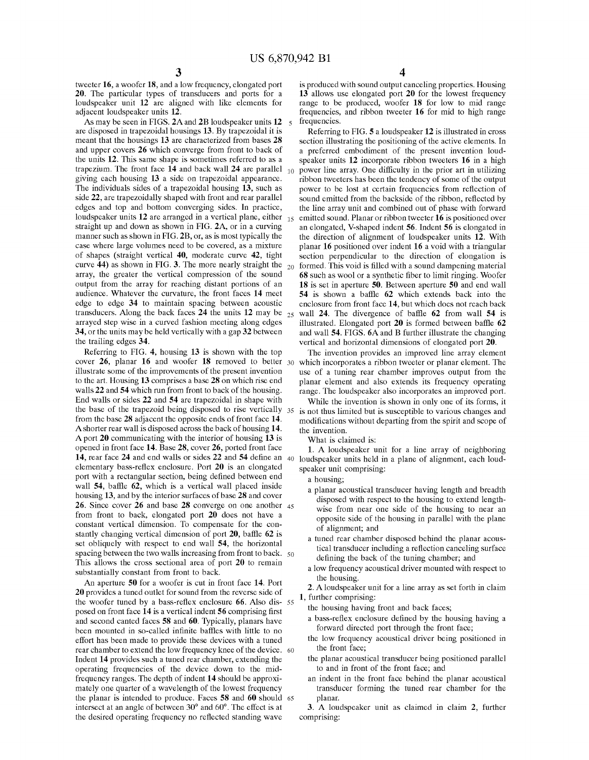tweeter 16, a woofer 18, and a low frequency, elongated port 20. The particular types of transducers and ports for a loudspeaker unit 12 are aligned with like elements for adjacent loudspeaker units 12.

As may be seen in FIGS. 2A and 2B loudspeaker units 12 5 are disposed in trapezoidal housings 13. By trapezoidal it is meant that the housings 13 are characterized from bases 28 and upper covers 26 which converge from front to back of the units 12. This same shape is sometimes referred to as a trapezium. The front face 14 and back wall 24 are parallel giving each housing 13 a side on trapezoidal appearance. The individuals sides of a trapezoidal housing 13, such as side 22, are trapezoidally shaped with front and rear parallel edges and top and bottom converging SideS. In practice, loudspeaker units 12 are arranged in a vertical plane, either 15 straight up and down as shown in FIG. 2A, or in a curving manner such as shown in FIG. 2B, or, as is most typically the case where large Volumes need to be covered, as a mixture of shapes (Straight vertical 40, moderate curve 42, tight curve 44) as shown in FIG. 3. The more nearly straight the  $_{20}$  formed. This void is filled with a sound dampening material array, the greater the vertical compression of the sound output from the array for reaching distant portions of an audience. Whatever the curvature, the front faces 14 meet edge to edge 34 to maintain Spacing between acoustic transducers. Along the back faces 24 the units  $12 \text{ may be } 25$ arrayed Step wise in a curved fashion meeting along edges 34, or the units may be held vertically with a gap 32 between the trailing edges 34.

Referring to FIG. 4, housing 13 is shown with the top cover 26, planar 16 and woofer 18 removed to better 30 illustrate some of the improvements of the present invention to the art. Housing 13 comprises a base 28 on which rise end walls 22 and 54 which run from front to back of the housing. End walls or sides 22 and 54 are trapezoidal in shape with the base of the trapezoid being disposed to rise vertically 35 from the base 28 adjacent the opposite ends of front face 14. A shorter rear wall is disposed across the back of housing 14. A port 20 communicating with the interior of housing 13 is opened in front face 14. Base 28, cover 26, ported front face 14, rear face 24 and end walls or sides 22 and 54 define an 40 loudspeaker units held in a plane of alignment, each loud elementary bass-refleX enclosure. Port 20 is an elongated port with a rectangular section, being defined between end wall 54, baffle 62, which is a vertical wall placed inside housing 13, and by the interior surfaces of base 28 and cover 26. Since cover 26 and base 28 converge on one another 45 from front to back, elongated port 20 does not have a constant Vertical dimension. To compensate for the con stantly changing vertical dimension of port 20, baffle 62 is set obliquely with respect to end wall 54, the horizontal spacing between the two walls increasing from front to back. 50 This allows the cross sectional area of port 20 to remain substantially constant from front to back.

An aperture 50 for a woofer is cut in front face 14. Port 20 provides a tuned outlet for sound from the reverse side of the woofer tuned by a bass-reflex enclosure  $\boldsymbol{00}$ . Also dis- $\boldsymbol{55}$ posed on front face 14 is a vertical indent 56 comprising first and second canted faces 58 and 60. Typically, planars have been mounted in so-called infinite baffles with little to no effort has been made to provide these devices with a tuned rear chamber to extend the low frequency knee of the device. 60 Indent 14 provides Such a tuned rear chamber, extending the operating frequencies of the device down to the mid frequency ranges. The depth of indent 14 should be approxi mately one quarter of a wavelength of the lowest frequency the planar is intended to produce. Faces **58** and **bu** should 65 intersect at an angle of between  $30^{\circ}$  and  $60^{\circ}$ . The effect is at the desired operating frequency no reflected Standing wave

4

is produced with Sound output canceling properties. Housing 13 allows use elongated port 20 for the lowest frequency range to be produced, woofer 18 for low to mid range frequencies, and ribbon tweeter 16 for mid to high range frequencies.

Referring to FIG. 5 a loudspeaker 12 is illustrated in cross section illustrating the positioning of the active elements. In a preferred embodiment of the present invention loud speaker units 12 incorporate ribbon tweeters 16 in a high power line array. One difficulty in the prior art in utilizing ribbon tweeters has been the tendency of some of the output power to be lost at certain frequencies from reflection of sound emitted from the backside of the ribbon, reflected by the line array unit and combined out of phase with forward emitted sound. Planar or ribbon tweeter 16 is positioned over an elongated, V-shaped indent 56. Indent 56 is elongated in the direction of alignment of loudspeaker units 12. With planar 16 positioned over indent 16 a void with a triangular section perpendicular to the direction of elongation is 68 such as wool or a synthetic fiber to limit ringing. Woofer 18 is set in aperture 50. Between aperture 50 and end wall 54 is shown a baffle 62 which extends back into the enclosure from front face 14, but which does not reach back wall 24. The divergence of baffle 62 from wall 54 is illustrated. Elongated port  $20$  is formed between baffle  $62$  and wall  $54$ . FIGS.  $6A$  and B further illustrate the changing vertical and horizontal dimensions of elongated port  $20$ .

The invention provides an improved line array element which incorporates a ribbon tweeter or planar element. The use of a tuning rear chamber improves output from the planar element and also extends its frequency operating range. The loudspeaker also incorporates an improved port.

While the invention is shown in only one of its forms, it is not thus limited but is susceptible to various changes and modifications without departing from the Spirit and Scope of the invention.

What is claimed is:

1. A loudspeaker unit for a line array of neighboring speaker unit comprising:

- a housing:
- a planar acoustical transducer having length and breadth disposed with respect to the housing to extend length wise from near one side of the housing to near an opposite side of the housing in parallel with the plane of alignment; and
- a tuned rear chamber disposed behind the planar acous tical transducer including a reflection canceling Surface defining the back of the tuning chamber; and
- a low frequency acoustical driver mounted with respect to the housing.

2. A loudspeaker unit for a line array as set forth in claim 1, further comprising:

the housing having front and back faces,

- a bass-refleX enclosure defined by the housing having a forward directed port through the front face;
- the low frequency acoustical driver being positioned in the front face;
- the planar acoustical transducer being positioned parallel to and in front of the front face; and
- an indent in the front face behind the planar acoustical transducer forming the tuned rear chamber for the planar.

3. A loudspeaker unit as claimed in claim 2, further comprising: